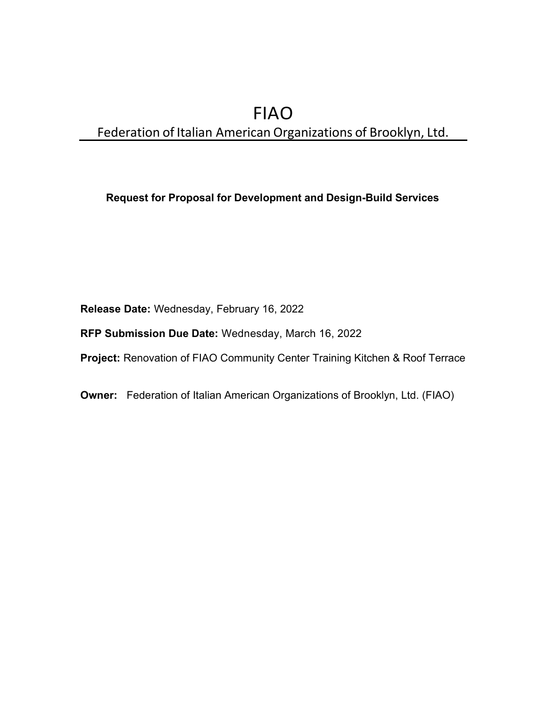# FIAO Federation of Italian American Organizations of Brooklyn, Ltd.

# Request for Proposal for Development and Design-Build Services

Release Date: Wednesday, February 16, 2022

RFP Submission Due Date: Wednesday, March 16, 2022

Project: Renovation of FIAO Community Center Training Kitchen & Roof Terrace

Owner: Federation of Italian American Organizations of Brooklyn, Ltd. (FIAO)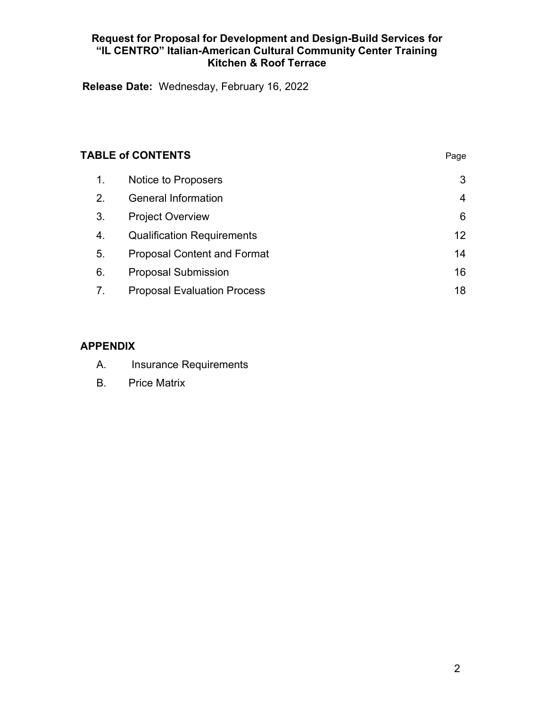Release Date: Wednesday, February 16, 2022

| <b>TABLE of CONTENTS</b> |                                    | Page |
|--------------------------|------------------------------------|------|
| 1.                       | Notice to Proposers                | 3    |
| 2.                       | <b>General Information</b>         | 4    |
| 3.                       | <b>Project Overview</b>            | 6    |
| 4.                       | <b>Qualification Requirements</b>  | 12   |
| 5.                       | <b>Proposal Content and Format</b> | 14   |
| 6.                       | <b>Proposal Submission</b>         | 16   |
| 7.                       | <b>Proposal Evaluation Process</b> | 18   |

# APPENDIX

- A. Insurance Requirements
- B. Price Matrix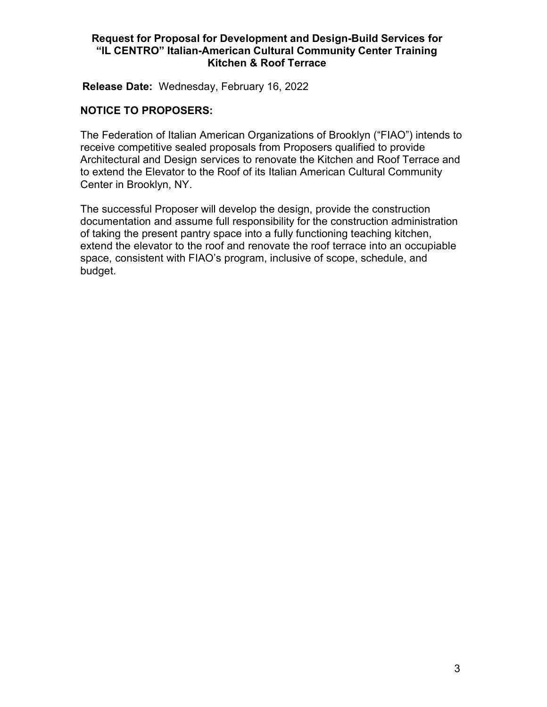Release Date: Wednesday, February 16, 2022

#### NOTICE TO PROPOSERS:

The Federation of Italian American Organizations of Brooklyn ("FIAO") intends to receive competitive sealed proposals from Proposers qualified to provide Architectural and Design services to renovate the Kitchen and Roof Terrace and to extend the Elevator to the Roof of its Italian American Cultural Community Center in Brooklyn, NY.

The successful Proposer will develop the design, provide the construction documentation and assume full responsibility for the construction administration of taking the present pantry space into a fully functioning teaching kitchen, extend the elevator to the roof and renovate the roof terrace into an occupiable space, consistent with FIAO's program, inclusive of scope, schedule, and budget.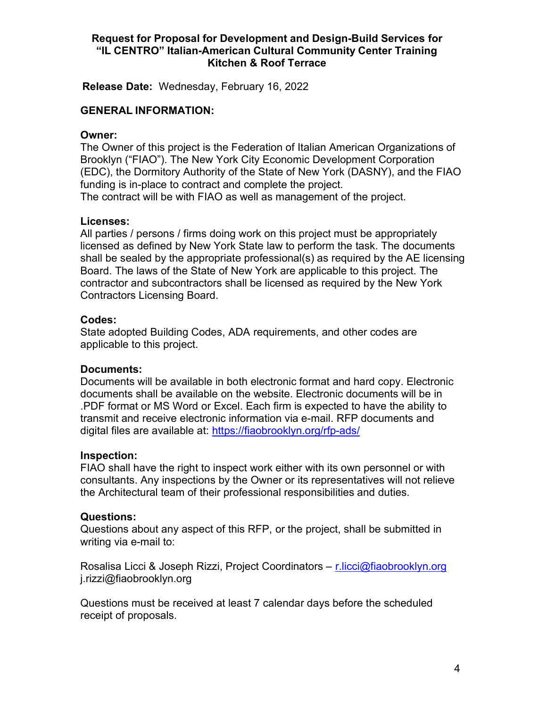Release Date: Wednesday, February 16, 2022

#### GENERAL INFORMATION:

#### Owner:

The Owner of this project is the Federation of Italian American Organizations of Brooklyn ("FIAO"). The New York City Economic Development Corporation (EDC), the Dormitory Authority of the State of New York (DASNY), and the FIAO funding is in-place to contract and complete the project. The contract will be with FIAO as well as management of the project.

#### Licenses:

All parties / persons / firms doing work on this project must be appropriately licensed as defined by New York State law to perform the task. The documents shall be sealed by the appropriate professional(s) as required by the AE licensing Board. The laws of the State of New York are applicable to this project. The contractor and subcontractors shall be licensed as required by the New York Contractors Licensing Board.

#### Codes:

State adopted Building Codes, ADA requirements, and other codes are applicable to this project.

#### Documents:

Documents will be available in both electronic format and hard copy. Electronic documents shall be available on the website. Electronic documents will be in .PDF format or MS Word or Excel. Each firm is expected to have the ability to transmit and receive electronic information via e-mail. RFP documents and digital files are available at: https://fiaobrooklyn.org/rfp-ads/

#### Inspection:

FIAO shall have the right to inspect work either with its own personnel or with consultants. Any inspections by the Owner or its representatives will not relieve the Architectural team of their professional responsibilities and duties.

#### Questions:

Questions about any aspect of this RFP, or the project, shall be submitted in writing via e-mail to:

Rosalisa Licci & Joseph Rizzi, Project Coordinators – r.licci@fiaobrooklyn.org j.rizzi@fiaobrooklyn.org

Questions must be received at least 7 calendar days before the scheduled receipt of proposals.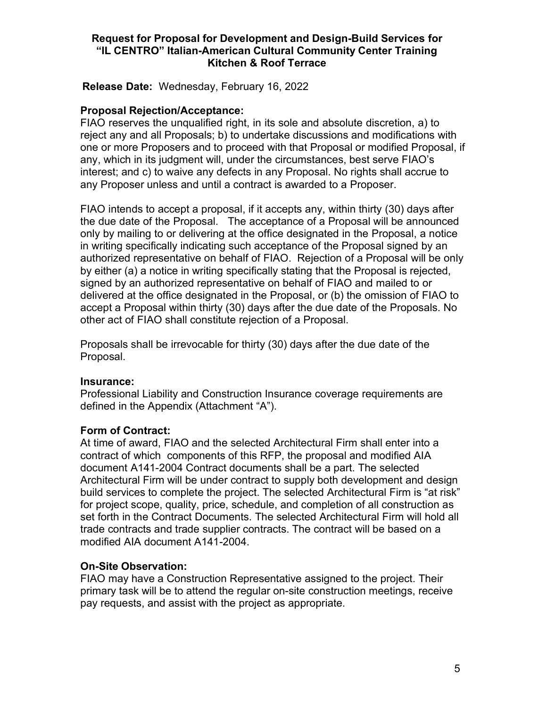Release Date: Wednesday, February 16, 2022

# Proposal Rejection/Acceptance:

FIAO reserves the unqualified right, in its sole and absolute discretion, a) to reject any and all Proposals; b) to undertake discussions and modifications with one or more Proposers and to proceed with that Proposal or modified Proposal, if any, which in its judgment will, under the circumstances, best serve FIAO's interest; and c) to waive any defects in any Proposal. No rights shall accrue to any Proposer unless and until a contract is awarded to a Proposer.

FIAO intends to accept a proposal, if it accepts any, within thirty (30) days after the due date of the Proposal. The acceptance of a Proposal will be announced only by mailing to or delivering at the office designated in the Proposal, a notice in writing specifically indicating such acceptance of the Proposal signed by an authorized representative on behalf of FIAO. Rejection of a Proposal will be only by either (a) a notice in writing specifically stating that the Proposal is rejected, signed by an authorized representative on behalf of FIAO and mailed to or delivered at the office designated in the Proposal, or (b) the omission of FIAO to accept a Proposal within thirty (30) days after the due date of the Proposals. No other act of FIAO shall constitute rejection of a Proposal.

Proposals shall be irrevocable for thirty (30) days after the due date of the Proposal.

#### Insurance:

Professional Liability and Construction Insurance coverage requirements are defined in the Appendix (Attachment "A").

# Form of Contract:

At time of award, FIAO and the selected Architectural Firm shall enter into a contract of which components of this RFP, the proposal and modified AIA document A141-2004 Contract documents shall be a part. The selected Architectural Firm will be under contract to supply both development and design build services to complete the project. The selected Architectural Firm is "at risk" for project scope, quality, price, schedule, and completion of all construction as set forth in the Contract Documents. The selected Architectural Firm will hold all trade contracts and trade supplier contracts. The contract will be based on a modified AIA document A141-2004.

# On-Site Observation:

FIAO may have a Construction Representative assigned to the project. Their primary task will be to attend the regular on-site construction meetings, receive pay requests, and assist with the project as appropriate.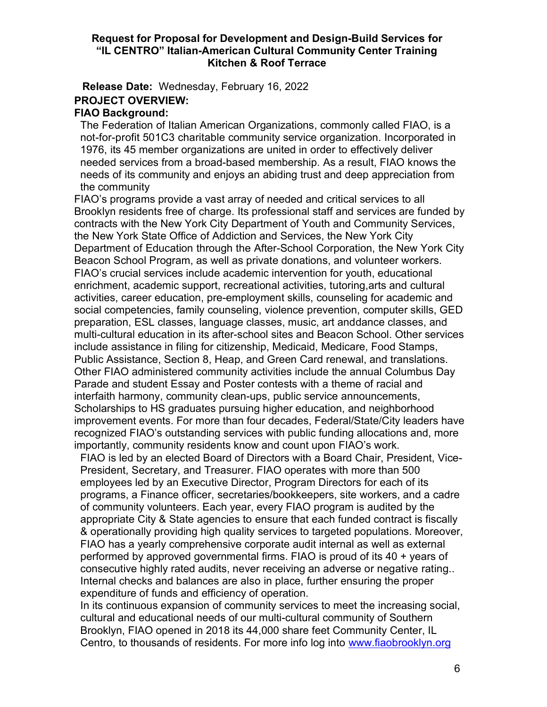Release Date: Wednesday, February 16, 2022 PROJECT OVERVIEW:

# FIAO Background:

The Federation of Italian American Organizations, commonly called FIAO, is a not-for-profit 501C3 charitable community service organization. Incorporated in 1976, its 45 member organizations are united in order to effectively deliver needed services from a broad-based membership. As a result, FIAO knows the needs of its community and enjoys an abiding trust and deep appreciation from the community

FIAO's programs provide a vast array of needed and critical services to all Brooklyn residents free of charge. Its professional staff and services are funded by contracts with the New York City Department of Youth and Community Services, the New York State Office of Addiction and Services, the New York City Department of Education through the After-School Corporation, the New York City Beacon School Program, as well as private donations, and volunteer workers. FIAO's crucial services include academic intervention for youth, educational enrichment, academic support, recreational activities, tutoring, arts and cultural activities, career education, pre-employment skills, counseling for academic and social competencies, family counseling, violence prevention, computer skills, GED preparation, ESL classes, language classes, music, art and dance classes, and multi-cultural education in its after-school sites and Beacon School. Other services include assistance in filing for citizenship, Medicaid, Medicare, Food Stamps, Public Assistance, Section 8, Heap, and Green Card renewal, and translations. Other FIAO administered community activities include the annual Columbus Day Parade and student Essay and Poster contests with a theme of racial and interfaith harmony, community clean-ups, public service announcements, Scholarships to HS graduates pursuing higher education, and neighborhood improvement events. For more than four decades, Federal/State/City leaders have recognized FIAO's outstanding services with public funding allocations and, more importantly, community residents know and count upon FIAO's work.

FIAO is led by an elected Board of Directors with a Board Chair, President, Vice-President, Secretary, and Treasurer. FIAO operates with more than 500 employees led by an Executive Director, Program Directors for each of its programs, a Finance officer, secretaries/bookkeepers, site workers, and a cadre of community volunteers. Each year, every FIAO program is audited by the appropriate City & State agencies to ensure that each funded contract is fiscally & operationally providing high quality services to targeted populations. Moreover, FIAO has a yearly comprehensive corporate audit internal as well as external performed by approved governmental firms. FIAO is proud of its 40 + years of consecutive highly rated audits, never receiving an adverse or negative rating.. Internal checks and balances are also in place, further ensuring the proper expenditure of funds and efficiency of operation.

In its continuous expansion of community services to meet the increasing social, cultural and educational needs of our multi-cultural community of Southern Brooklyn, FIAO opened in 2018 its 44,000 share feet Community Center, IL Centro, to thousands of residents. For more info log into www.fiaobrooklyn.org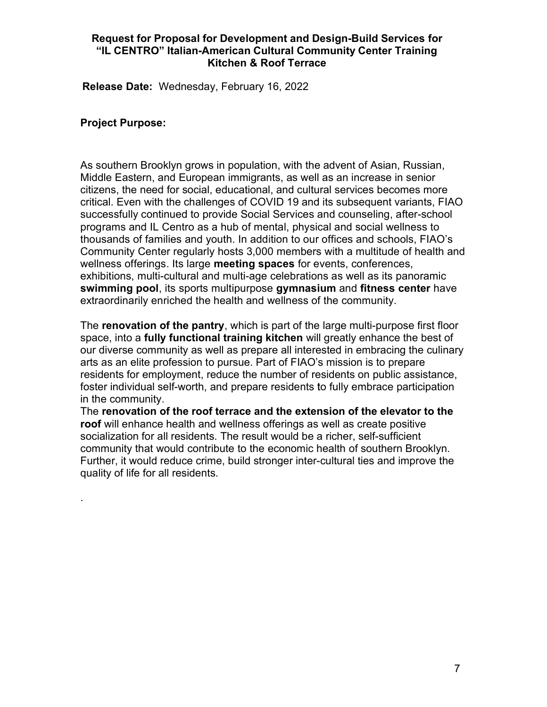Release Date: Wednesday, February 16, 2022

#### Project Purpose:

.

As southern Brooklyn grows in population, with the advent of Asian, Russian, Middle Eastern, and European immigrants, as well as an increase in senior citizens, the need for social, educational, and cultural services becomes more critical. Even with the challenges of COVID 19 and its subsequent variants, FIAO successfully continued to provide Social Services and counseling, after-school programs and IL Centro as a hub of mental, physical and social wellness to thousands of families and youth. In addition to our offices and schools, FIAO's Community Center regularly hosts 3,000 members with a multitude of health and wellness offerings. Its large meeting spaces for events, conferences, exhibitions, multi-cultural and multi-age celebrations as well as its panoramic swimming pool, its sports multipurpose gymnasium and fitness center have extraordinarily enriched the health and wellness of the community.

The renovation of the pantry, which is part of the large multi-purpose first floor space, into a **fully functional training kitchen** will greatly enhance the best of our diverse community as well as prepare all interested in embracing the culinary arts as an elite profession to pursue. Part of FIAO's mission is to prepare residents for employment, reduce the number of residents on public assistance, foster individual self-worth, and prepare residents to fully embrace participation in the community.

The renovation of the roof terrace and the extension of the elevator to the roof will enhance health and wellness offerings as well as create positive socialization for all residents. The result would be a richer, self-sufficient community that would contribute to the economic health of southern Brooklyn. Further, it would reduce crime, build stronger inter-cultural ties and improve the quality of life for all residents.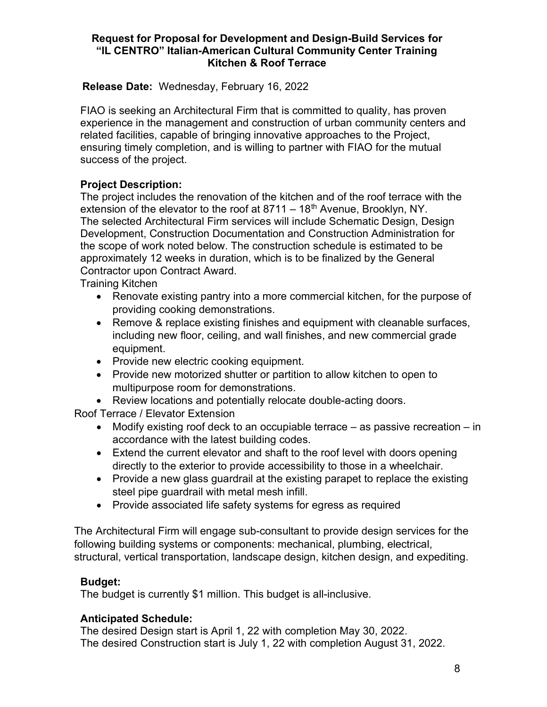# Release Date: Wednesday, February 16, 2022

FIAO is seeking an Architectural Firm that is committed to quality, has proven experience in the management and construction of urban community centers and related facilities, capable of bringing innovative approaches to the Project, ensuring timely completion, and is willing to partner with FIAO for the mutual success of the project.

# Project Description:

The project includes the renovation of the kitchen and of the roof terrace with the extension of the elevator to the roof at  $8711 - 18$ <sup>th</sup> Avenue, Brooklyn, NY. The selected Architectural Firm services will include Schematic Design, Design Development, Construction Documentation and Construction Administration for the scope of work noted below. The construction schedule is estimated to be approximately 12 weeks in duration, which is to be finalized by the General Contractor upon Contract Award.

Training Kitchen

- Renovate existing pantry into a more commercial kitchen, for the purpose of providing cooking demonstrations.
- Remove & replace existing finishes and equipment with cleanable surfaces, including new floor, ceiling, and wall finishes, and new commercial grade equipment.
- Provide new electric cooking equipment.
- Provide new motorized shutter or partition to allow kitchen to open to multipurpose room for demonstrations.
- Review locations and potentially relocate double-acting doors.

Roof Terrace / Elevator Extension

- Modify existing roof deck to an occupiable terrace as passive recreation in accordance with the latest building codes.
- Extend the current elevator and shaft to the roof level with doors opening directly to the exterior to provide accessibility to those in a wheelchair.
- Provide a new glass guardrail at the existing parapet to replace the existing steel pipe guardrail with metal mesh infill.
- Provide associated life safety systems for egress as required

The Architectural Firm will engage sub-consultant to provide design services for the following building systems or components: mechanical, plumbing, electrical, structural, vertical transportation, landscape design, kitchen design, and expediting.

# Budget:

The budget is currently \$1 million. This budget is all-inclusive.

#### Anticipated Schedule:

The desired Design start is April 1, 22 with completion May 30, 2022. The desired Construction start is July 1, 22 with completion August 31, 2022.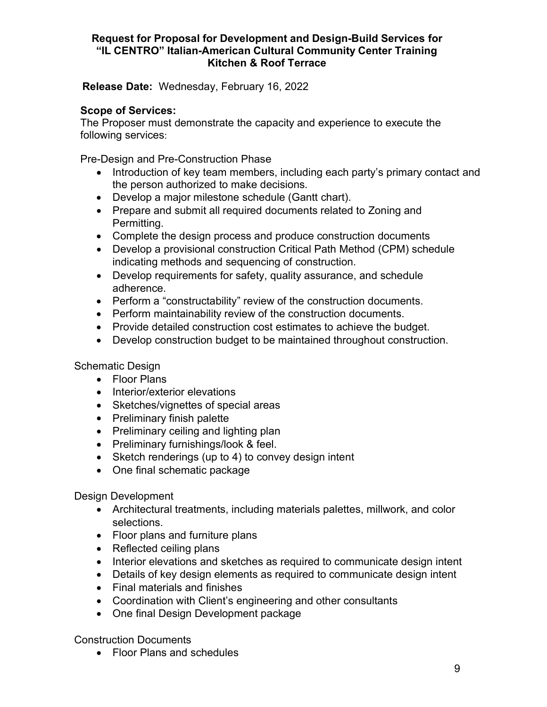Release Date: Wednesday, February 16, 2022

# Scope of Services:

The Proposer must demonstrate the capacity and experience to execute the following services:

Pre-Design and Pre-Construction Phase

- Introduction of key team members, including each party's primary contact and the person authorized to make decisions.
- Develop a major milestone schedule (Gantt chart).
- Prepare and submit all required documents related to Zoning and Permitting.
- Complete the design process and produce construction documents
- Develop a provisional construction Critical Path Method (CPM) schedule indicating methods and sequencing of construction.
- Develop requirements for safety, quality assurance, and schedule adherence.
- Perform a "constructability" review of the construction documents.
- Perform maintainability review of the construction documents.
- Provide detailed construction cost estimates to achieve the budget.
- Develop construction budget to be maintained throughout construction.

Schematic Design

- Floor Plans
- Interior/exterior elevations
- Sketches/vignettes of special areas
- Preliminary finish palette
- Preliminary ceiling and lighting plan
- Preliminary furnishings/look & feel.
- Sketch renderings (up to 4) to convey design intent
- One final schematic package

Design Development

- Architectural treatments, including materials palettes, millwork, and color selections.
- Floor plans and furniture plans
- Reflected ceiling plans
- Interior elevations and sketches as required to communicate design intent
- Details of key design elements as required to communicate design intent
- Final materials and finishes
- Coordination with Client's engineering and other consultants
- One final Design Development package

Construction Documents

• Floor Plans and schedules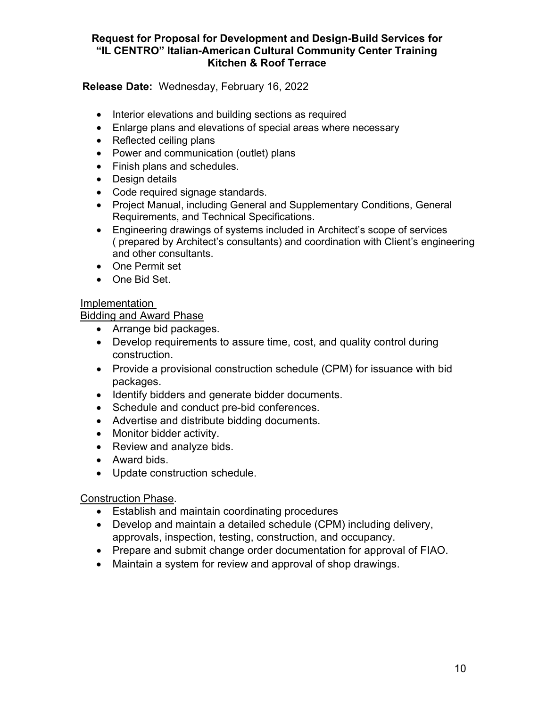# Release Date: Wednesday, February 16, 2022

- Interior elevations and building sections as required
- Enlarge plans and elevations of special areas where necessary
- Reflected ceiling plans
- Power and communication (outlet) plans
- Finish plans and schedules.
- Design details
- Code required signage standards.
- Project Manual, including General and Supplementary Conditions, General Requirements, and Technical Specifications.
- Engineering drawings of systems included in Architect's scope of services ( prepared by Architect's consultants) and coordination with Client's engineering and other consultants.
- One Permit set
- One Bid Set.

# Implementation

# Bidding and Award Phase

- Arrange bid packages.
- Develop requirements to assure time, cost, and quality control during construction.
- Provide a provisional construction schedule (CPM) for issuance with bid packages.
- Identify bidders and generate bidder documents.
- Schedule and conduct pre-bid conferences.
- Advertise and distribute bidding documents.
- Monitor bidder activity.
- Review and analyze bids.
- Award bids.
- Update construction schedule.

# Construction Phase.

- Establish and maintain coordinating procedures
- Develop and maintain a detailed schedule (CPM) including delivery, approvals, inspection, testing, construction, and occupancy.
- Prepare and submit change order documentation for approval of FIAO.
- Maintain a system for review and approval of shop drawings.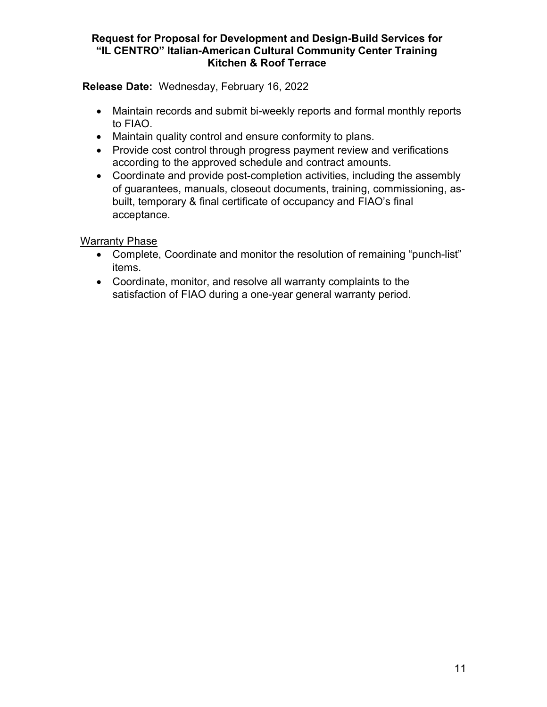Release Date: Wednesday, February 16, 2022

- Maintain records and submit bi-weekly reports and formal monthly reports to FIAO.
- Maintain quality control and ensure conformity to plans.
- Provide cost control through progress payment review and verifications according to the approved schedule and contract amounts.
- Coordinate and provide post-completion activities, including the assembly of guarantees, manuals, closeout documents, training, commissioning, asbuilt, temporary & final certificate of occupancy and FIAO's final acceptance.

Warranty Phase

- Complete, Coordinate and monitor the resolution of remaining "punch-list" items.
- Coordinate, monitor, and resolve all warranty complaints to the satisfaction of FIAO during a one-year general warranty period.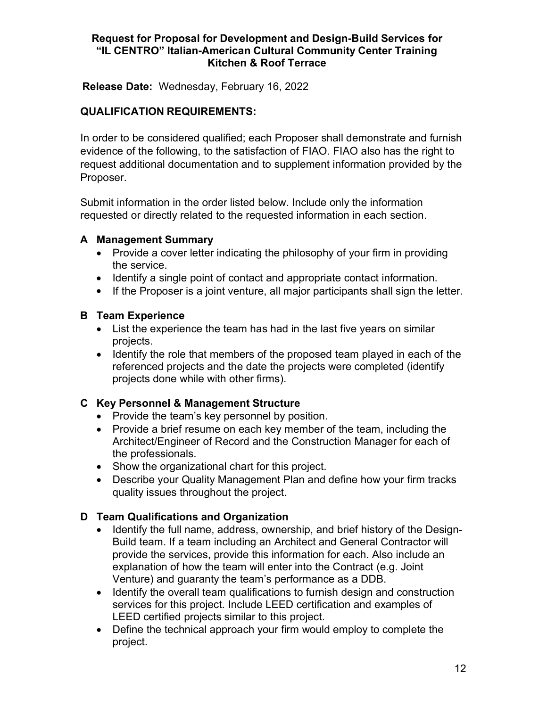Release Date: Wednesday, February 16, 2022

# QUALIFICATION REQUIREMENTS:

In order to be considered qualified; each Proposer shall demonstrate and furnish evidence of the following, to the satisfaction of FIAO. FIAO also has the right to request additional documentation and to supplement information provided by the Proposer.

Submit information in the order listed below. Include only the information requested or directly related to the requested information in each section.

# A Management Summary

- Provide a cover letter indicating the philosophy of your firm in providing the service.
- Identify a single point of contact and appropriate contact information.
- If the Proposer is a joint venture, all major participants shall sign the letter.

# B Team Experience

- List the experience the team has had in the last five years on similar projects.
- Identify the role that members of the proposed team played in each of the referenced projects and the date the projects were completed (identify projects done while with other firms).

# C Key Personnel & Management Structure

- Provide the team's key personnel by position.
- Provide a brief resume on each key member of the team, including the Architect/Engineer of Record and the Construction Manager for each of the professionals.
- Show the organizational chart for this project.
- Describe your Quality Management Plan and define how your firm tracks quality issues throughout the project.

# D Team Qualifications and Organization

- Identify the full name, address, ownership, and brief history of the Design-Build team. If a team including an Architect and General Contractor will provide the services, provide this information for each. Also include an explanation of how the team will enter into the Contract (e.g. Joint Venture) and guaranty the team's performance as a DDB.
- Identify the overall team qualifications to furnish design and construction services for this project. Include LEED certification and examples of LEED certified projects similar to this project.
- Define the technical approach your firm would employ to complete the project.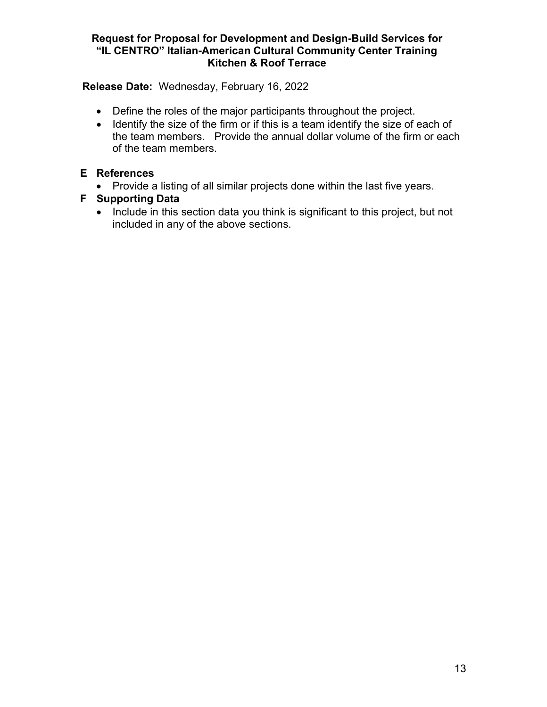Release Date: Wednesday, February 16, 2022

- Define the roles of the major participants throughout the project.
- Identify the size of the firm or if this is a team identify the size of each of the team members. Provide the annual dollar volume of the firm or each of the team members.

# E References

• Provide a listing of all similar projects done within the last five years.

# F Supporting Data

• Include in this section data you think is significant to this project, but not included in any of the above sections.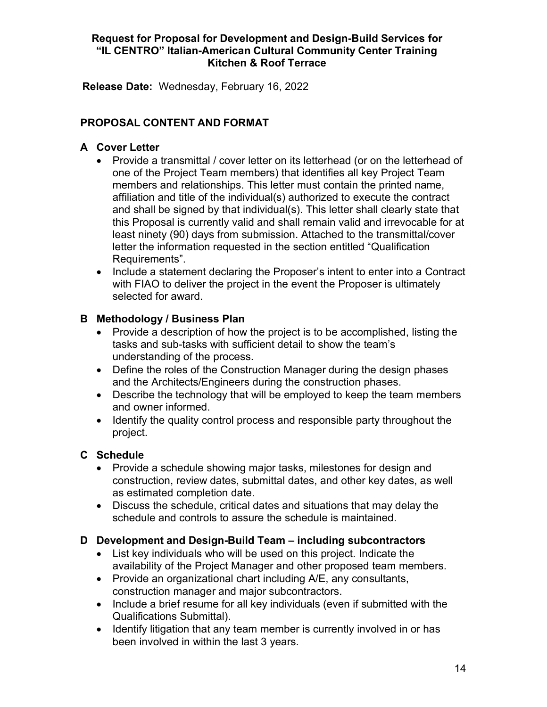Release Date: Wednesday, February 16, 2022

# PROPOSAL CONTENT AND FORMAT

# A Cover Letter

- Provide a transmittal / cover letter on its letterhead (or on the letterhead of one of the Project Team members) that identifies all key Project Team members and relationships. This letter must contain the printed name, affiliation and title of the individual(s) authorized to execute the contract and shall be signed by that individual(s). This letter shall clearly state that this Proposal is currently valid and shall remain valid and irrevocable for at least ninety (90) days from submission. Attached to the transmittal/cover letter the information requested in the section entitled "Qualification Requirements".
- Include a statement declaring the Proposer's intent to enter into a Contract with FIAO to deliver the project in the event the Proposer is ultimately selected for award.

# B Methodology / Business Plan

- Provide a description of how the project is to be accomplished, listing the tasks and sub-tasks with sufficient detail to show the team's understanding of the process.
- Define the roles of the Construction Manager during the design phases and the Architects/Engineers during the construction phases.
- Describe the technology that will be employed to keep the team members and owner informed.
- Identify the quality control process and responsible party throughout the project.

# C Schedule

- Provide a schedule showing major tasks, milestones for design and construction, review dates, submittal dates, and other key dates, as well as estimated completion date.
- Discuss the schedule, critical dates and situations that may delay the schedule and controls to assure the schedule is maintained.

# D Development and Design-Build Team – including subcontractors

- List key individuals who will be used on this project. Indicate the availability of the Project Manager and other proposed team members.
- Provide an organizational chart including A/E, any consultants, construction manager and major subcontractors.
- Include a brief resume for all key individuals (even if submitted with the Qualifications Submittal).
- Identify litigation that any team member is currently involved in or has been involved in within the last 3 years.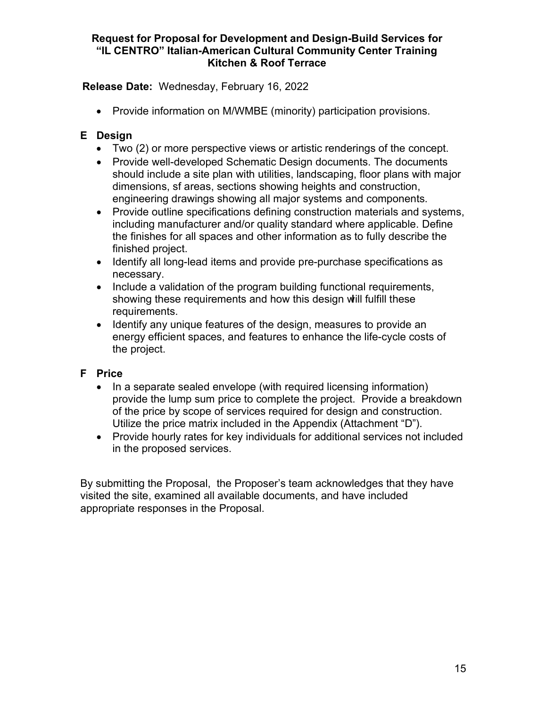Release Date: Wednesday, February 16, 2022

Provide information on M/WMBE (minority) participation provisions.

# E Design

- Two (2) or more perspective views or artistic renderings of the concept.
- Provide well-developed Schematic Design documents. The documents should include a site plan with utilities, landscaping, floor plans with major dimensions, sf areas, sections showing heights and construction, engineering drawings showing all major systems and components.
- Provide outline specifications defining construction materials and systems, including manufacturer and/or quality standard where applicable. Define the finishes for all spaces and other information as to fully describe the finished project.
- Identify all long-lead items and provide pre-purchase specifications as necessary.
- Include a validation of the program building functional requirements, showing these requirements and how this design will fulfill these requirements.
- Identify any unique features of the design, measures to provide an energy efficient spaces, and features to enhance the life-cycle costs of the project.

# F Price

- In a separate sealed envelope (with required licensing information) provide the lump sum price to complete the project. Provide a breakdown of the price by scope of services required for design and construction. Utilize the price matrix included in the Appendix (Attachment "D").
- Provide hourly rates for key individuals for additional services not included in the proposed services.

By submitting the Proposal, the Proposer's team acknowledges that they have visited the site, examined all available documents, and have included appropriate responses in the Proposal.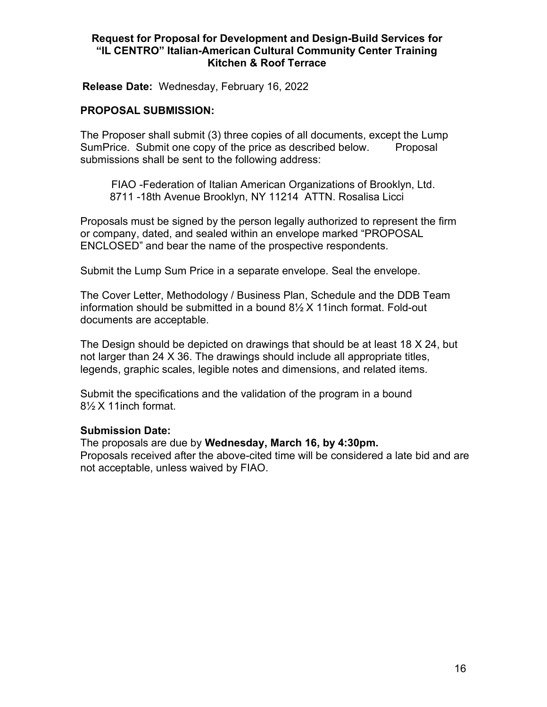Release Date: Wednesday, February 16, 2022

#### PROPOSAL SUBMISSION:

The Proposer shall submit (3) three copies of all documents, except the Lump Sum Price. Submit one copy of the price as described below. Proposal submissions shall be sent to the following address:

FIAO -Federation of Italian American Organizations of Brooklyn, Ltd. 8711 -18th Avenue Brooklyn, NY 11214 ATTN. Rosalisa Licci

Proposals must be signed by the person legally authorized to represent the firm or company, dated, and sealed within an envelope marked "PROPOSAL ENCLOSED" and bear the name of the prospective respondents.

Submit the Lump Sum Price in a separate envelope. Seal the envelope.

The Cover Letter, Methodology / Business Plan, Schedule and the DDB Team information should be submitted in a bound 8½ X 11inch format. Fold-out documents are acceptable.

The Design should be depicted on drawings that should be at least 18 X 24, but not larger than 24 X 36. The drawings should include all appropriate titles, legends, graphic scales, legible notes and dimensions, and related items.

Submit the specifications and the validation of the program in a bound  $8\frac{1}{2}$  X 11 inch format.

#### Submission Date:

The proposals are due by Wednesday, March 16, by 4:30pm. Proposals received after the above-cited time will be considered a late bid and are not acceptable, unless waived by FIAO.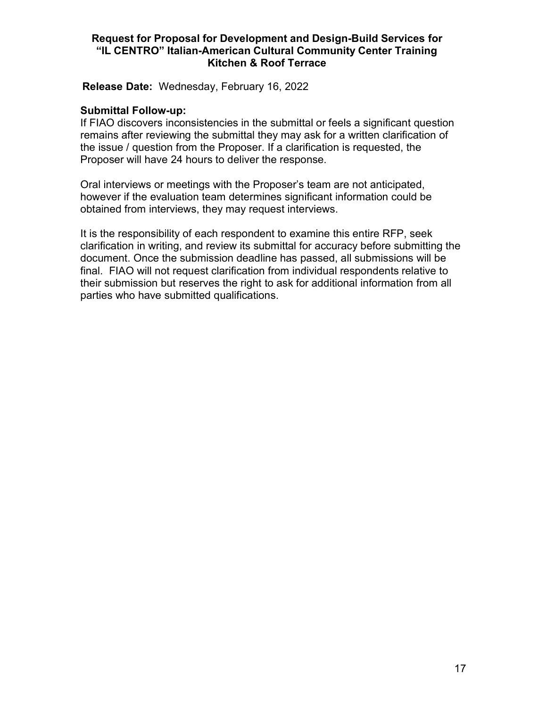Release Date: Wednesday, February 16, 2022

#### Submittal Follow-up:

If FIAO discovers inconsistencies in the submittal or feels a significant question remains after reviewing the submittal they may ask for a written clarification of the issue / question from the Proposer. If a clarification is requested, the Proposer will have 24 hours to deliver the response.

Oral interviews or meetings with the Proposer's team are not anticipated, however if the evaluation team determines significant information could be obtained from interviews, they may request interviews.

It is the responsibility of each respondent to examine this entire RFP, seek clarification in writing, and review its submittal for accuracy before submitting the document. Once the submission deadline has passed, all submissions will be final. FIAO will not request clarification from individual respondents relative to their submission but reserves the right to ask for additional information from all parties who have submitted qualifications.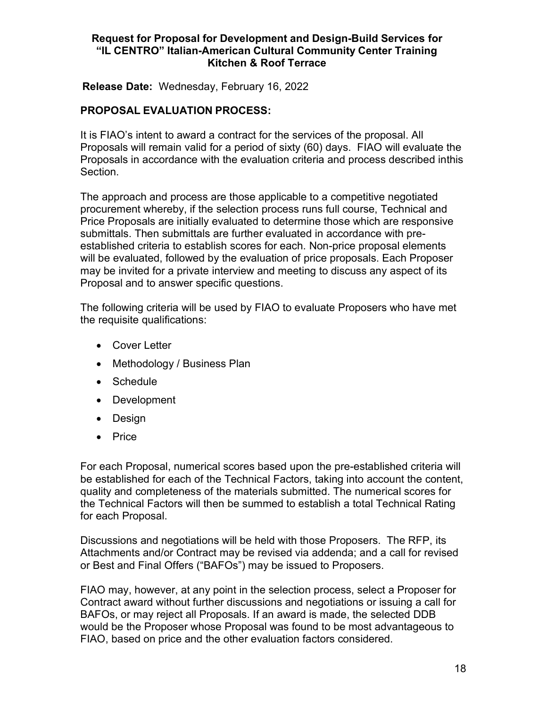Release Date: Wednesday, February 16, 2022

### PROPOSAL EVALUATION PROCESS:

It is FIAO's intent to award a contract for the services of the proposal. All Proposals will remain valid for a period of sixty (60) days. FIAO will evaluate the Proposals in accordance with the evaluation criteria and process described inthis Section.

The approach and process are those applicable to a competitive negotiated procurement whereby, if the selection process runs full course, Technical and Price Proposals are initially evaluated to determine those which are responsive submittals. Then submittals are further evaluated in accordance with preestablished criteria to establish scores for each. Non-price proposal elements will be evaluated, followed by the evaluation of price proposals. Each Proposer may be invited for a private interview and meeting to discuss any aspect of its Proposal and to answer specific questions.

The following criteria will be used by FIAO to evaluate Proposers who have met the requisite qualifications:

- Cover Letter
- Methodology / Business Plan
- Schedule
- Development
- Design
- Price

For each Proposal, numerical scores based upon the pre-established criteria will be established for each of the Technical Factors, taking into account the content, quality and completeness of the materials submitted. The numerical scores for the Technical Factors will then be summed to establish a total Technical Rating for each Proposal.

Discussions and negotiations will be held with those Proposers. The RFP, its Attachments and/or Contract may be revised via addenda; and a call for revised or Best and Final Offers ("BAFOs") may be issued to Proposers.

FIAO may, however, at any point in the selection process, select a Proposer for Contract award without further discussions and negotiations or issuing a call for BAFOs, or may reject all Proposals. If an award is made, the selected DDB would be the Proposer whose Proposal was found to be most advantageous to FIAO, based on price and the other evaluation factors considered.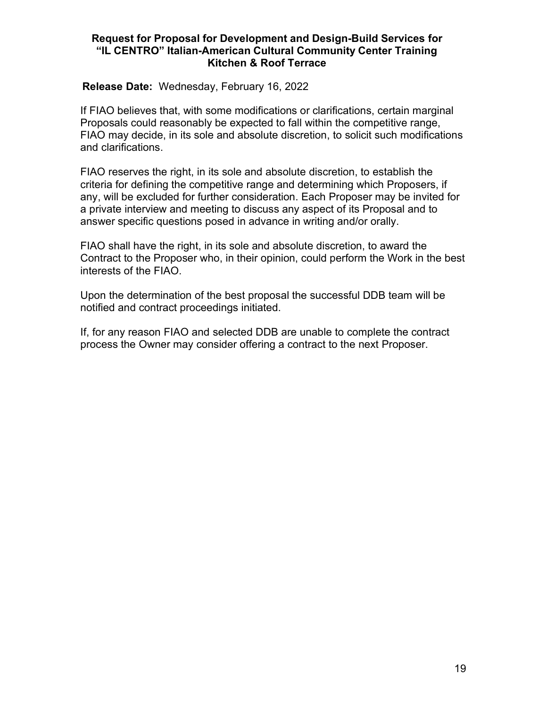#### Release Date: Wednesday, February 16, 2022

If FIAO believes that, with some modifications or clarifications, certain marginal Proposals could reasonably be expected to fall within the competitive range, FIAO may decide, in its sole and absolute discretion, to solicit such modifications and clarifications.

FIAO reserves the right, in its sole and absolute discretion, to establish the criteria for defining the competitive range and determining which Proposers, if any, will be excluded for further consideration. Each Proposer may be invited for a private interview and meeting to discuss any aspect of its Proposal and to answer specific questions posed in advance in writing and/or orally.

FIAO shall have the right, in its sole and absolute discretion, to award the Contract to the Proposer who, in their opinion, could perform the Work in the best interests of the FIAO.

Upon the determination of the best proposal the successful DDB team will be notified and contract proceedings initiated.

If, for any reason FIAO and selected DDB are unable to complete the contract process the Owner may consider offering a contract to the next Proposer.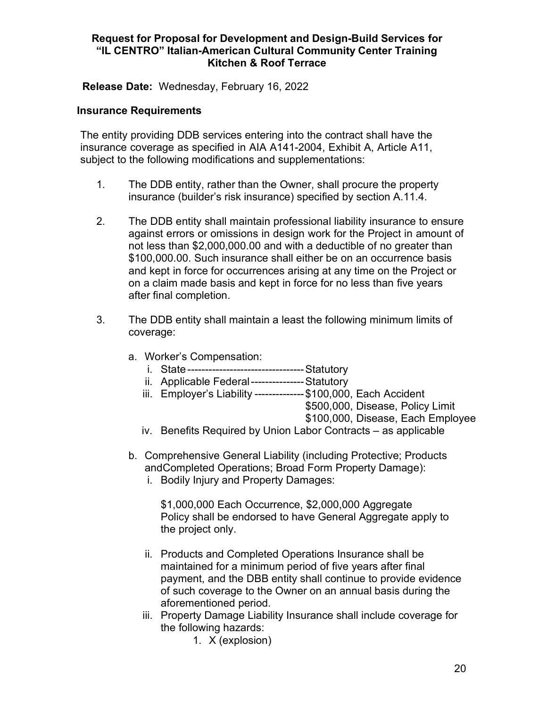Release Date: Wednesday, February 16, 2022

### Insurance Requirements

The entity providing DDB services entering into the contract shall have the insurance coverage as specified in AIA A141-2004, Exhibit A, Article A11, subject to the following modifications and supplementations:

- 1. The DDB entity, rather than the Owner, shall procure the property insurance (builder's risk insurance) specified by section A.11.4.
- 2. The DDB entity shall maintain professional liability insurance to ensure against errors or omissions in design work for the Project in amount of not less than \$2,000,000.00 and with a deductible of no greater than \$100,000.00. Such insurance shall either be on an occurrence basis and kept in force for occurrences arising at any time on the Project or on a claim made basis and kept in force for no less than five years after final completion.
- 3. The DDB entity shall maintain a least the following minimum limits of coverage:
	- a. Worker's Compensation:
		- i. State --------------------------------- Statutory
		- ii. Applicable Federal --------------- Statutory
		- iii. Employer's Liability -------------- \$100,000, Each Accident
			- \$500,000, Disease, Policy Limit

\$100,000, Disease, Each Employee

- iv. Benefits Required by Union Labor Contracts as applicable
- b. Comprehensive General Liability (including Protective; Products and Completed Operations; Broad Form Property Damage):
	- i. Bodily Injury and Property Damages:

\$1,000,000 Each Occurrence, \$2,000,000 Aggregate Policy shall be endorsed to have General Aggregate apply to the project only.

- ii. Products and Completed Operations Insurance shall be maintained for a minimum period of five years after final payment, and the DBB entity shall continue to provide evidence of such coverage to the Owner on an annual basis during the aforementioned period.
- iii. Property Damage Liability Insurance shall include coverage for the following hazards:
	- 1. X (explosion)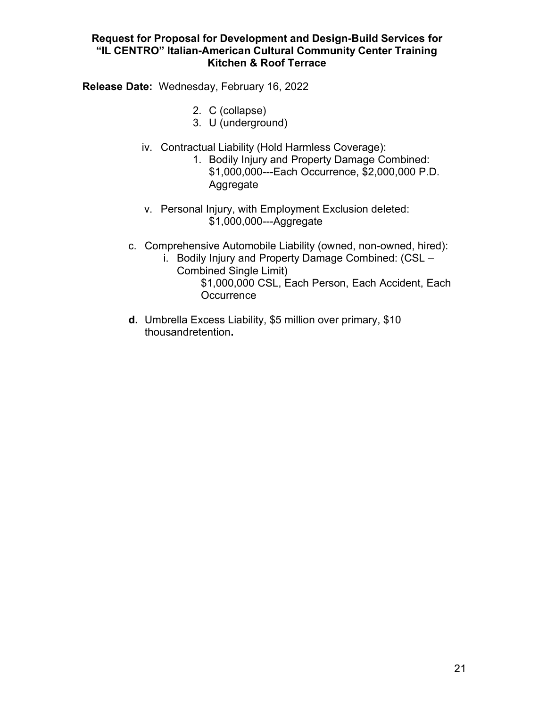Release Date: Wednesday, February 16, 2022

- 2. C (collapse)
- 3. U (underground)
- iv. Contractual Liability (Hold Harmless Coverage):
	- 1. Bodily Injury and Property Damage Combined: \$1,000,000---Each Occurrence, \$2,000,000 P.D. Aggregate
	- v. Personal Injury, with Employment Exclusion deleted: \$1,000,000---Aggregate
- c. Comprehensive Automobile Liability (owned, non-owned, hired):
	- i. Bodily Injury and Property Damage Combined: (CSL Combined Single Limit) \$1,000,000 CSL, Each Person, Each Accident, Each **Occurrence**
- d. Umbrella Excess Liability, \$5 million over primary, \$10 thousand retention.